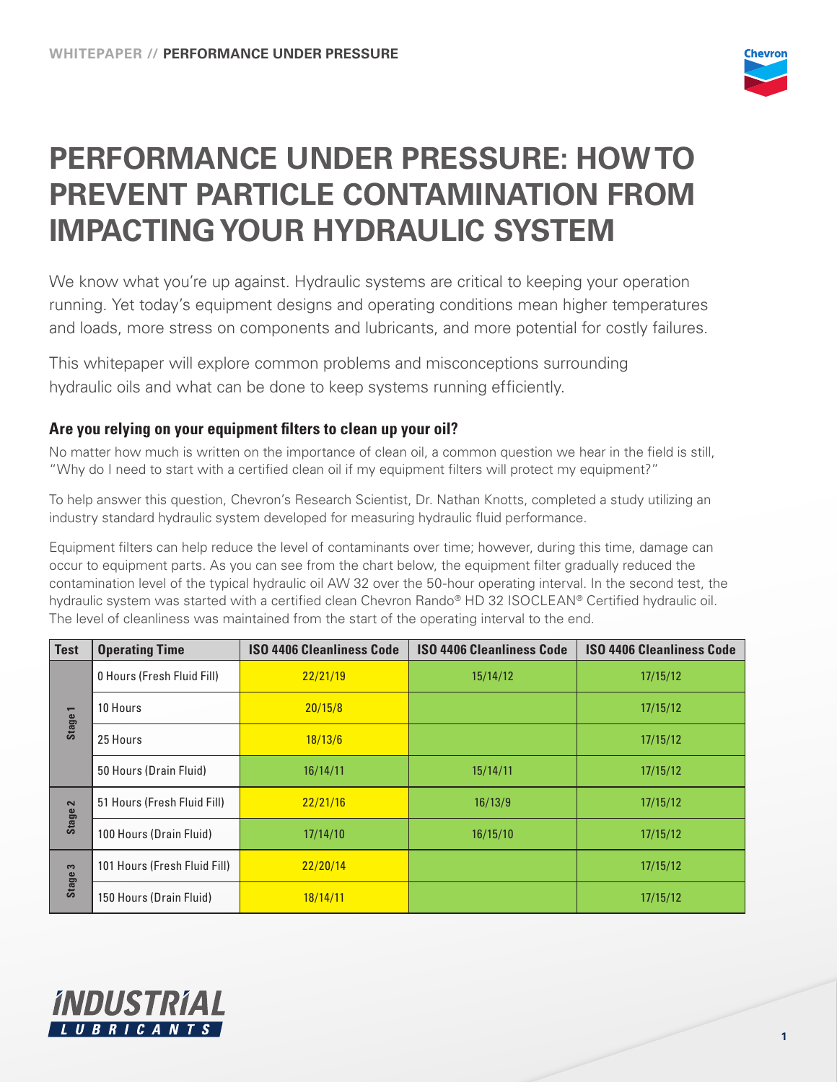

# **PERFORMANCE UNDER PRESSURE: HOW TO PREVENT PARTICLE CONTAMINATION FROM IMPACTING YOUR HYDRAULIC SYSTEM**

We know what you're up against. Hydraulic systems are critical to keeping your operation running. Yet today's equipment designs and operating conditions mean higher temperatures and loads, more stress on components and lubricants, and more potential for costly failures.

This whitepaper will explore common problems and misconceptions surrounding hydraulic oils and what can be done to keep systems running efficiently.

## **Are you relying on your equipment filters to clean up your oil?**

No matter how much is written on the importance of clean oil, a common question we hear in the field is still, "Why do I need to start with a certified clean oil if my equipment filters will protect my equipment?"

To help answer this question, Chevron's Research Scientist, Dr. Nathan Knotts, completed a study utilizing an industry standard hydraulic system developed for measuring hydraulic fluid performance.

Equipment filters can help reduce the level of contaminants over time; however, during this time, damage can occur to equipment parts. As you can see from the chart below, the equipment filter gradually reduced the contamination level of the typical hydraulic oil AW 32 over the 50-hour operating interval. In the second test, the hydraulic system was started with a certified clean Chevron Rando® HD 32 ISOCLEAN® Certified hydraulic oil. The level of cleanliness was maintained from the start of the operating interval to the end.

| <b>Test</b>                             | <b>Operating Time</b>        | <b>ISO 4406 Cleanliness Code</b> | <b>ISO 4406 Cleanliness Code</b> | <b>ISO 4406 Cleanliness Code</b> |
|-----------------------------------------|------------------------------|----------------------------------|----------------------------------|----------------------------------|
| $\overline{\phantom{0}}$<br>Stage       | 0 Hours (Fresh Fluid Fill)   | 22/21/19                         | 15/14/12                         | 17/15/12                         |
|                                         | 10 Hours                     | 20/15/8                          |                                  | 17/15/12                         |
|                                         | 25 Hours                     | 18/13/6                          |                                  | 17/15/12                         |
|                                         | 50 Hours (Drain Fluid)       | 16/14/11                         | 15/14/11                         | 17/15/12                         |
| $\overline{\mathbf{c}}$<br><b>Stage</b> | 51 Hours (Fresh Fluid Fill)  | 22/21/16                         | 16/13/9                          | 17/15/12                         |
|                                         | 100 Hours (Drain Fluid)      | 17/14/10                         | 16/15/10                         | 17/15/12                         |
| 3<br><b>Stage</b>                       | 101 Hours (Fresh Fluid Fill) | 22/20/14                         |                                  | 17/15/12                         |
|                                         | 150 Hours (Drain Fluid)      | 18/14/11                         |                                  | 17/15/12                         |

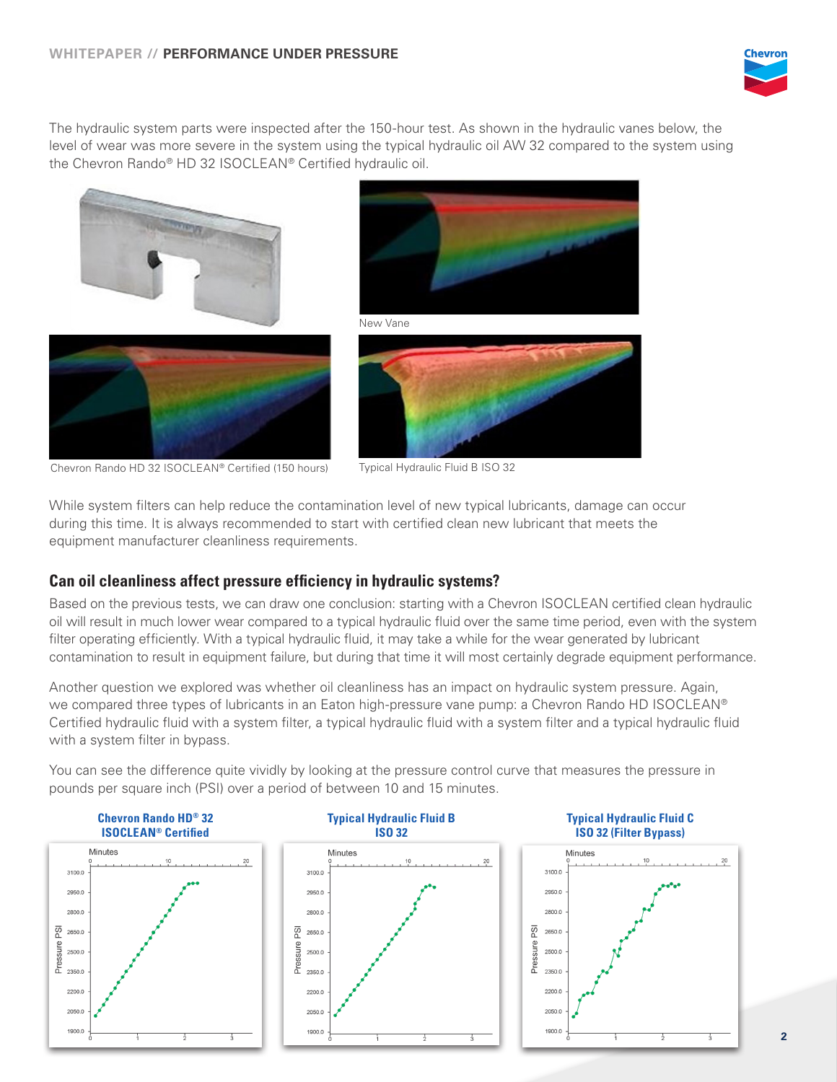

The hydraulic system parts were inspected after the 150-hour test. As shown in the hydraulic vanes below, the level of wear was more severe in the system using the typical hydraulic oil AW 32 compared to the system using the Chevron Rando® HD 32 ISOCLEAN® Certified hydraulic oil.





New Vane





Chevron Rando HD 32 ISOCLEAN® Certified (150 hours) Typical Hydraulic Fluid B ISO 32

While system filters can help reduce the contamination level of new typical lubricants, damage can occur during this time. It is always recommended to start with certified clean new lubricant that meets the equipment manufacturer cleanliness requirements.

## **Can oil cleanliness affect pressure efficiency in hydraulic systems?**

Based on the previous tests, we can draw one conclusion: starting with a Chevron ISOCLEAN certified clean hydraulic oil will result in much lower wear compared to a typical hydraulic fluid over the same time period, even with the system filter operating efficiently. With a typical hydraulic fluid, it may take a while for the wear generated by lubricant contamination to result in equipment failure, but during that time it will most certainly degrade equipment performance.

Another question we explored was whether oil cleanliness has an impact on hydraulic system pressure. Again, we compared three types of lubricants in an Eaton high-pressure vane pump: a Chevron Rando HD ISOCLEAN® Certified hydraulic fluid with a system filter, a typical hydraulic fluid with a system filter and a typical hydraulic fluid with a system filter in bypass.

You can see the difference quite vividly by looking at the pressure control curve that measures the pressure in pounds per square inch (PSI) over a period of between 10 and 15 minutes.

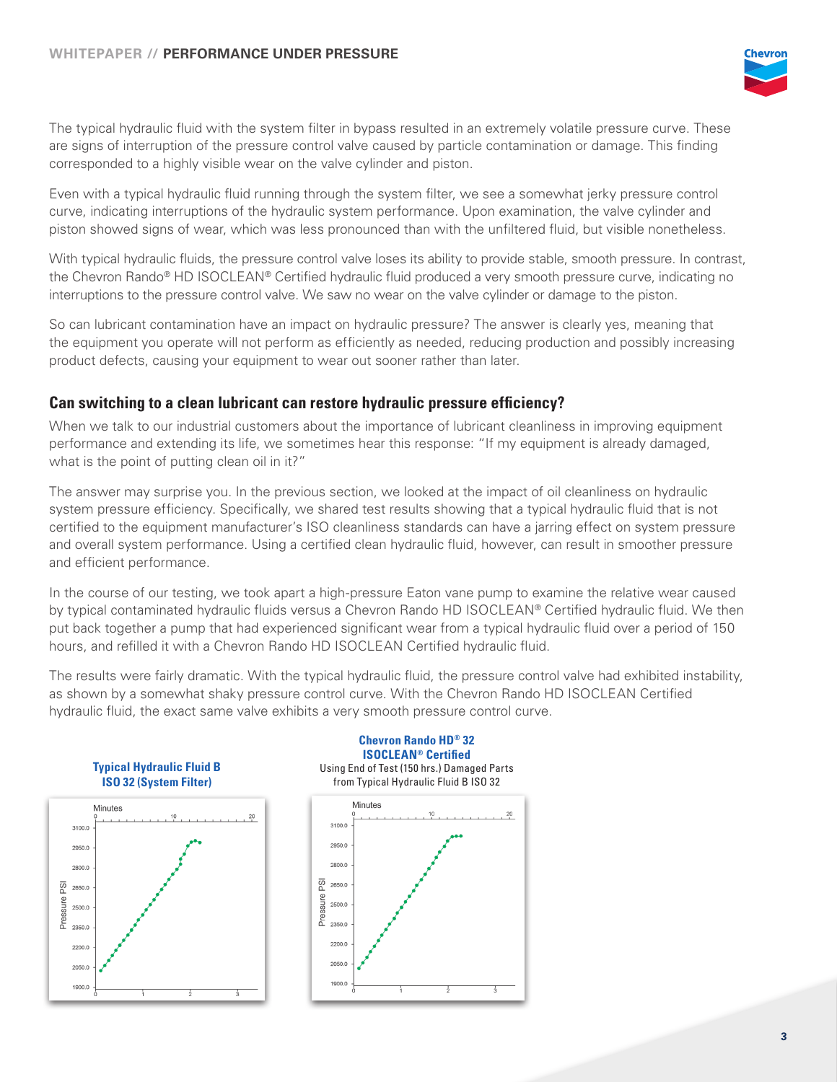

The typical hydraulic fluid with the system filter in bypass resulted in an extremely volatile pressure curve. These are signs of interruption of the pressure control valve caused by particle contamination or damage. This finding corresponded to a highly visible wear on the valve cylinder and piston.

Even with a typical hydraulic fluid running through the system filter, we see a somewhat jerky pressure control curve, indicating interruptions of the hydraulic system performance. Upon examination, the valve cylinder and piston showed signs of wear, which was less pronounced than with the unfiltered fluid, but visible nonetheless.

With typical hydraulic fluids, the pressure control valve loses its ability to provide stable, smooth pressure. In contrast, the Chevron Rando® HD ISOCLEAN® Certified hydraulic fluid produced a very smooth pressure curve, indicating no interruptions to the pressure control valve. We saw no wear on the valve cylinder or damage to the piston.

So can lubricant contamination have an impact on hydraulic pressure? The answer is clearly yes, meaning that the equipment you operate will not perform as efficiently as needed, reducing production and possibly increasing product defects, causing your equipment to wear out sooner rather than later.

#### **Can switching to a clean lubricant can restore hydraulic pressure efficiency?**

When we talk to our industrial customers about the importance of lubricant cleanliness in improving equipment performance and extending its life, we sometimes hear this response: "If my equipment is already damaged, what is the point of putting clean oil in it?"

The answer may surprise you. In the previous section, we looked at the impact of oil cleanliness on hydraulic system pressure efficiency. Specifically, we shared test results showing that a typical hydraulic fluid that is not certified to the equipment manufacturer's ISO cleanliness standards can have a jarring effect on system pressure and overall system performance. Using a certified clean hydraulic fluid, however, can result in smoother pressure and efficient performance.

In the course of our testing, we took apart a high-pressure Eaton vane pump to examine the relative wear caused by typical contaminated hydraulic fluids versus a Chevron Rando HD ISOCLEAN® Certified hydraulic fluid. We then put back together a pump that had experienced significant wear from a typical hydraulic fluid over a period of 150 hours, and refilled it with a Chevron Rando HD ISOCLEAN Certified hydraulic fluid.

The results were fairly dramatic. With the typical hydraulic fluid, the pressure control valve had exhibited instability, as shown by a somewhat shaky pressure control curve. With the Chevron Rando HD ISOCLEAN Certified hydraulic fluid, the exact same valve exhibits a very smooth pressure control curve.



**Chevron Rando HD® 32 ISOCLEAN® Certified** Using End of Test (150 hrs.) Damaged Parts from Typical Hydraulic Fluid B ISO 32

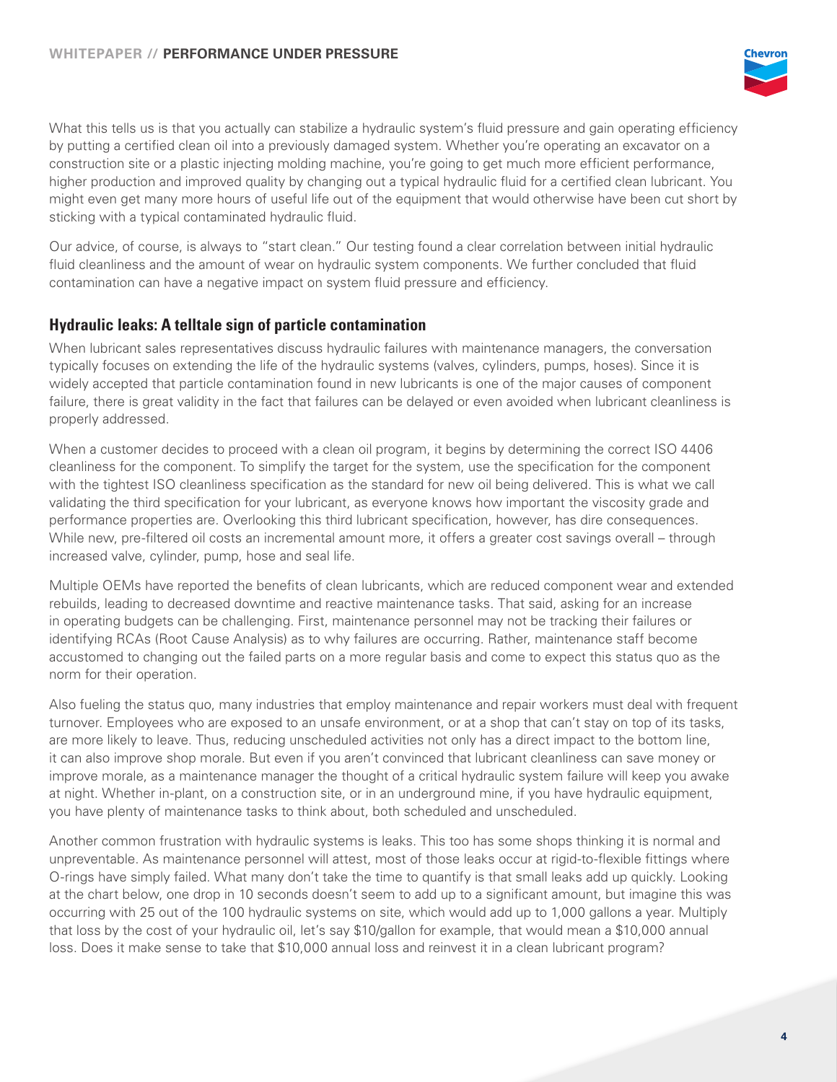

What this tells us is that you actually can stabilize a hydraulic system's fluid pressure and gain operating efficiency by putting a certified clean oil into a previously damaged system. Whether you're operating an excavator on a construction site or a plastic injecting molding machine, you're going to get much more efficient performance, higher production and improved quality by changing out a typical hydraulic fluid for a certified clean lubricant. You might even get many more hours of useful life out of the equipment that would otherwise have been cut short by sticking with a typical contaminated hydraulic fluid.

Our advice, of course, is always to "start clean." Our testing found a clear correlation between initial hydraulic fluid cleanliness and the amount of wear on hydraulic system components. We further concluded that fluid contamination can have a negative impact on system fluid pressure and efficiency.

#### **Hydraulic leaks: A telltale sign of particle contamination**

When lubricant sales representatives discuss hydraulic failures with maintenance managers, the conversation typically focuses on extending the life of the hydraulic systems (valves, cylinders, pumps, hoses). Since it is widely accepted that particle contamination found in new lubricants is one of the major causes of component failure, there is great validity in the fact that failures can be delayed or even avoided when lubricant cleanliness is properly addressed.

When a customer decides to proceed with a clean oil program, it begins by determining the correct ISO 4406 cleanliness for the component. To simplify the target for the system, use the specification for the component with the tightest ISO cleanliness specification as the standard for new oil being delivered. This is what we call validating the third specification for your lubricant, as everyone knows how important the viscosity grade and performance properties are. Overlooking this third lubricant specification, however, has dire consequences. While new, pre-filtered oil costs an incremental amount more, it offers a greater cost savings overall – through increased valve, cylinder, pump, hose and seal life.

Multiple OEMs have reported the benefits of clean lubricants, which are reduced component wear and extended rebuilds, leading to decreased downtime and reactive maintenance tasks. That said, asking for an increase in operating budgets can be challenging. First, maintenance personnel may not be tracking their failures or identifying RCAs (Root Cause Analysis) as to why failures are occurring. Rather, maintenance staff become accustomed to changing out the failed parts on a more regular basis and come to expect this status quo as the norm for their operation.

Also fueling the status quo, many industries that employ maintenance and repair workers must deal with frequent turnover. Employees who are exposed to an unsafe environment, or at a shop that can't stay on top of its tasks, are more likely to leave. Thus, reducing unscheduled activities not only has a direct impact to the bottom line, it can also improve shop morale. But even if you aren't convinced that lubricant cleanliness can save money or improve morale, as a maintenance manager the thought of a critical hydraulic system failure will keep you awake at night. Whether in-plant, on a construction site, or in an underground mine, if you have hydraulic equipment, you have plenty of maintenance tasks to think about, both scheduled and unscheduled.

Another common frustration with hydraulic systems is leaks. This too has some shops thinking it is normal and unpreventable. As maintenance personnel will attest, most of those leaks occur at rigid-to-flexible fittings where O-rings have simply failed. What many don't take the time to quantify is that small leaks add up quickly. Looking at the chart below, one drop in 10 seconds doesn't seem to add up to a significant amount, but imagine this was occurring with 25 out of the 100 hydraulic systems on site, which would add up to 1,000 gallons a year. Multiply that loss by the cost of your hydraulic oil, let's say \$10/gallon for example, that would mean a \$10,000 annual loss. Does it make sense to take that \$10,000 annual loss and reinvest it in a clean lubricant program?